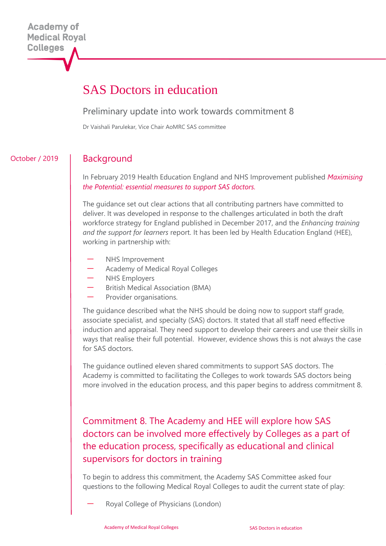# SAS Doctors in education

#### Preliminary update into work towards commitment 8

Dr Vaishali Parulekar, Vice Chair AoMRC SAS committee

### October / 2019

Background

In February 2019 Health Education England and NHS Improvement published *[Maximising](https://www.hee.nhs.uk/sites/default/files/documents/SAS_Report_Web.pdf)  [the Potential: essential measures to support SAS doctors.](https://www.hee.nhs.uk/sites/default/files/documents/SAS_Report_Web.pdf)*

The guidance set out clear actions that all contributing partners have committed to deliver. It was developed in response to the challenges articulated in both the draft workforce strategy for England published in December 2017, and the *Enhancing training and the support for learners* report. It has been led by Health Education England (HEE), working in partnership with:

- NHS Improvement
- Academy of Medical Royal Colleges
- NHS Employers
- British Medical Association (BMA)
- Provider organisations.

The guidance described what the NHS should be doing now to support staff grade, associate specialist, and specialty (SAS) doctors. It stated that all staff need effective induction and appraisal. They need support to develop their careers and use their skills in ways that realise their full potential. However, evidence shows this is not always the case for SAS doctors.

The guidance outlined eleven shared commitments to support SAS doctors. The Academy is committed to facilitating the Colleges to work towards SAS doctors being more involved in the education process, and this paper begins to address commitment 8.

Commitment 8. The Academy and HEE will explore how SAS doctors can be involved more effectively by Colleges as a part of the education process, specifically as educational and clinical supervisors for doctors in training

To begin to address this commitment, the Academy SAS Committee asked four questions to the following Medical Royal Colleges to audit the current state of play:

— Royal College of Physicians (London)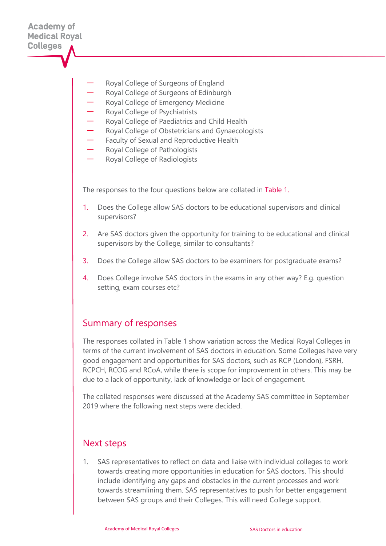- Royal College of Surgeons of England
- Royal College of Surgeons of Edinburgh
- Royal College of Emergency Medicine
- Royal College of Psychiatrists
- Royal College of Paediatrics and Child Health
- Royal College of Obstetricians and Gynaecologists
- Faculty of Sexual and Reproductive Health
- Royal College of Pathologists
- Royal College of Radiologists

The responses to the four questions below are collated in Table 1.

- 1. Does the College allow SAS doctors to be educational supervisors and clinical supervisors?
- 2. Are SAS doctors given the opportunity for training to be educational and clinical supervisors by the College, similar to consultants?
- 3. Does the College allow SAS doctors to be examiners for postgraduate exams?
- 4. Does College involve SAS doctors in the exams in any other way? E.g. question setting, exam courses etc?

# Summary of responses

The responses collated in Table 1 show variation across the Medical Royal Colleges in terms of the current involvement of SAS doctors in education. Some Colleges have very good engagement and opportunities for SAS doctors, such as RCP (London), FSRH, RCPCH, RCOG and RCoA, while there is scope for improvement in others. This may be due to a lack of opportunity, lack of knowledge or lack of engagement.

The collated responses were discussed at the Academy SAS committee in September 2019 where the following next steps were decided.

### Next steps

1. SAS representatives to reflect on data and liaise with individual colleges to work towards creating more opportunities in education for SAS doctors. This should include identifying any gaps and obstacles in the current processes and work towards streamlining them. SAS representatives to push for better engagement between SAS groups and their Colleges. This will need College support.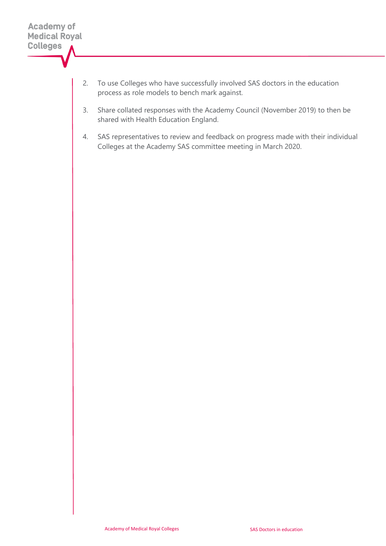- 2. To use Colleges who have successfully involved SAS doctors in the education process as role models to bench mark against.
- 3. Share collated responses with the Academy Council (November 2019) to then be shared with Health Education England.
- 4. SAS representatives to review and feedback on progress made with their individual Colleges at the Academy SAS committee meeting in March 2020.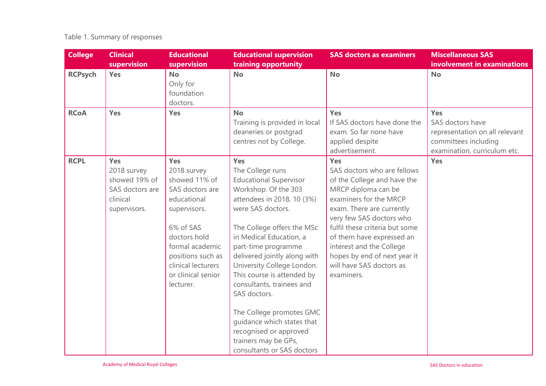# Table 1. Summary of responses

| <b>College</b> | <b>Clinical</b><br>supervision                                                            | <b>Educational</b><br>supervision                                                                                                                                                                                          | <b>Educational supervision</b><br>training opportunity                                                                                                                                                                                                                                                                                                                                                                                                                                                        | <b>SAS doctors as examiners</b>                                                                                                                                                                                                                                                                                                                         | <b>Miscellaneous SAS</b><br>involvement in examinations                                                           |
|----------------|-------------------------------------------------------------------------------------------|----------------------------------------------------------------------------------------------------------------------------------------------------------------------------------------------------------------------------|---------------------------------------------------------------------------------------------------------------------------------------------------------------------------------------------------------------------------------------------------------------------------------------------------------------------------------------------------------------------------------------------------------------------------------------------------------------------------------------------------------------|---------------------------------------------------------------------------------------------------------------------------------------------------------------------------------------------------------------------------------------------------------------------------------------------------------------------------------------------------------|-------------------------------------------------------------------------------------------------------------------|
| <b>RCPsych</b> | <b>Yes</b>                                                                                | <b>No</b><br>Only for<br>foundation<br>doctors.                                                                                                                                                                            | <b>No</b>                                                                                                                                                                                                                                                                                                                                                                                                                                                                                                     | <b>No</b>                                                                                                                                                                                                                                                                                                                                               | <b>No</b>                                                                                                         |
| <b>RCoA</b>    | Yes                                                                                       | Yes                                                                                                                                                                                                                        | <b>No</b><br>Training is provided in local<br>deaneries or postgrad<br>centres not by College.                                                                                                                                                                                                                                                                                                                                                                                                                | Yes<br>If SAS doctors have done the<br>exam. So far none have<br>applied despite<br>advertisement.                                                                                                                                                                                                                                                      | Yes<br>SAS doctors have<br>representation on all relevant<br>committees including<br>examination, curriculum etc. |
| <b>RCPL</b>    | <b>Yes</b><br>2018 survey<br>showed 19% of<br>SAS doctors are<br>clinical<br>supervisors. | <b>Yes</b><br>2018 survey<br>showed 11% of<br>SAS doctors are<br>educational<br>supervisors.<br>6% of SAS<br>doctors hold<br>formal academic<br>positions such as<br>clinical lecturers<br>or clinical senior<br>lecturer. | <b>Yes</b><br>The College runs<br><b>Educational Supervisor</b><br>Workshop. Of the 303<br>attendees in 2018, 10 (3%)<br>were SAS doctors.<br>The College offers the MSc<br>in Medical Education, a<br>part-time programme<br>delivered jointly along with<br>University College London.<br>This course is attended by<br>consultants, trainees and<br>SAS doctors.<br>The College promotes GMC<br>quidance which states that<br>recognised or approved<br>trainers may be GPs,<br>consultants or SAS doctors | <b>Yes</b><br>SAS doctors who are fellows<br>of the College and have the<br>MRCP diploma can be<br>examiners for the MRCP<br>exam. There are currently<br>very few SAS doctors who<br>fulfil these criteria but some<br>of them have expressed an<br>interest and the College<br>hopes by end of next year it<br>will have SAS doctors as<br>examiners. | Yes                                                                                                               |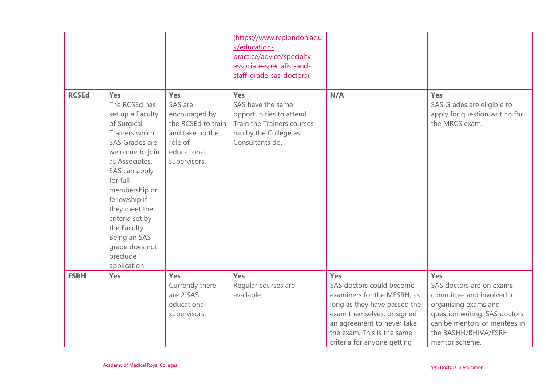|              |                                                                                                                                                                                                                                                                                                                          |                                                                                                                    | (https://www.rcplondon.ac.u<br>k/education-<br>practice/advice/specialty-<br>associate-specialist-and-<br>staff-grade-sas-doctors). |                                                                                                                                                                                                                                |                                                                                                                                                                                                 |
|--------------|--------------------------------------------------------------------------------------------------------------------------------------------------------------------------------------------------------------------------------------------------------------------------------------------------------------------------|--------------------------------------------------------------------------------------------------------------------|-------------------------------------------------------------------------------------------------------------------------------------|--------------------------------------------------------------------------------------------------------------------------------------------------------------------------------------------------------------------------------|-------------------------------------------------------------------------------------------------------------------------------------------------------------------------------------------------|
| <b>RCSEd</b> | <b>Yes</b><br>The RCSEd has<br>set up a Faculty<br>of Surgical<br>Trainers which<br>SAS Grades are<br>welcome to join<br>as Associates.<br>SAS can apply<br>for full<br>membership or<br>fellowship if<br>they meet the<br>criteria set by<br>the Faculty.<br>Being an SAS<br>grade does not<br>preclude<br>application. | Yes<br>SAS are<br>encouraged by<br>the RCSEd to train<br>and take up the<br>role of<br>educational<br>supervisors. | Yes<br>SAS have the same<br>opportunities to attend<br>Train the Trainers courses<br>run by the College as<br>Consultants do.       | N/A                                                                                                                                                                                                                            | Yes<br>SAS Grades are eligible to<br>apply for question writing for<br>the MRCS exam.                                                                                                           |
| <b>FSRH</b>  | <b>Yes</b>                                                                                                                                                                                                                                                                                                               | <b>Yes</b><br>Currently there<br>are 2 SAS<br>educational<br>supervisors.                                          | <b>Yes</b><br>Regular courses are<br>available.                                                                                     | <b>Yes</b><br>SAS doctors could become<br>examiners for the MFSRH, as<br>long as they have passed the<br>exam themselves, or signed<br>an agreement to never take<br>the exam. This is the same<br>criteria for anyone getting | Yes<br>SAS doctors are on exams<br>committee and involved in<br>organising exams and<br>question writing. SAS doctors<br>can be mentors or mentees in<br>the BASHH/BHIVA/FSRH<br>mentor scheme. |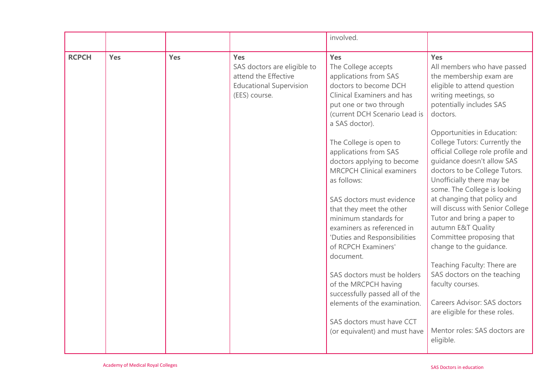|              |     |     |                                                                                                               | involved.                                                                                                                                                                                                                                                                                                                                                                                                                                                                                                                                                                                                                                                                                              |                                                                                                                                                                                                                                                                                                                                                                                                                                                                                                                                                                                                                                                                                                                                                                                     |
|--------------|-----|-----|---------------------------------------------------------------------------------------------------------------|--------------------------------------------------------------------------------------------------------------------------------------------------------------------------------------------------------------------------------------------------------------------------------------------------------------------------------------------------------------------------------------------------------------------------------------------------------------------------------------------------------------------------------------------------------------------------------------------------------------------------------------------------------------------------------------------------------|-------------------------------------------------------------------------------------------------------------------------------------------------------------------------------------------------------------------------------------------------------------------------------------------------------------------------------------------------------------------------------------------------------------------------------------------------------------------------------------------------------------------------------------------------------------------------------------------------------------------------------------------------------------------------------------------------------------------------------------------------------------------------------------|
| <b>RCPCH</b> | Yes | Yes | Yes<br>SAS doctors are eligible to<br>attend the Effective<br><b>Educational Supervision</b><br>(EES) course. | Yes<br>The College accepts<br>applications from SAS<br>doctors to become DCH<br>Clinical Examiners and has<br>put one or two through<br>(current DCH Scenario Lead is<br>a SAS doctor).<br>The College is open to<br>applications from SAS<br>doctors applying to become<br><b>MRCPCH Clinical examiners</b><br>as follows:<br>SAS doctors must evidence<br>that they meet the other<br>minimum standards for<br>examiners as referenced in<br>'Duties and Responsibilities<br>of RCPCH Examiners'<br>document.<br>SAS doctors must be holders<br>of the MRCPCH having<br>successfully passed all of the<br>elements of the examination.<br>SAS doctors must have CCT<br>(or equivalent) and must have | <b>Yes</b><br>All members who have passed<br>the membership exam are<br>eligible to attend question<br>writing meetings, so<br>potentially includes SAS<br>doctors.<br>Opportunities in Education:<br>College Tutors: Currently the<br>official College role profile and<br>quidance doesn't allow SAS<br>doctors to be College Tutors.<br>Unofficially there may be<br>some. The College is looking<br>at changing that policy and<br>will discuss with Senior College<br>Tutor and bring a paper to<br>autumn E&T Quality<br>Committee proposing that<br>change to the guidance.<br>Teaching Faculty: There are<br>SAS doctors on the teaching<br>faculty courses.<br>Careers Advisor: SAS doctors<br>are eligible for these roles.<br>Mentor roles: SAS doctors are<br>eligible. |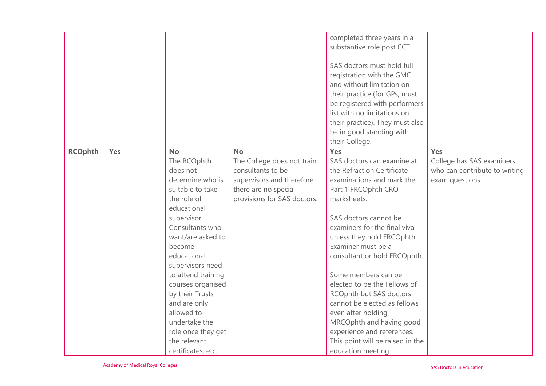|                |     |                                                                                                                                                                                                                                                                                                                                                                                         |                                                                                                                                                  | completed three years in a<br>substantive role post CCT.<br>SAS doctors must hold full<br>registration with the GMC<br>and without limitation on<br>their practice (for GPs, must<br>be registered with performers<br>list with no limitations on<br>their practice). They must also<br>be in good standing with<br>their College.                                                                                                                                                                                                          |                                                                                      |
|----------------|-----|-----------------------------------------------------------------------------------------------------------------------------------------------------------------------------------------------------------------------------------------------------------------------------------------------------------------------------------------------------------------------------------------|--------------------------------------------------------------------------------------------------------------------------------------------------|---------------------------------------------------------------------------------------------------------------------------------------------------------------------------------------------------------------------------------------------------------------------------------------------------------------------------------------------------------------------------------------------------------------------------------------------------------------------------------------------------------------------------------------------|--------------------------------------------------------------------------------------|
| <b>RCOphth</b> | Yes | <b>No</b><br>The RCOphth<br>does not<br>determine who is<br>suitable to take<br>the role of<br>educational<br>supervisor.<br>Consultants who<br>want/are asked to<br>become<br>educational<br>supervisors need<br>to attend training<br>courses organised<br>by their Trusts<br>and are only<br>allowed to<br>undertake the<br>role once they get<br>the relevant<br>certificates, etc. | <b>No</b><br>The College does not train<br>consultants to be<br>supervisors and therefore<br>there are no special<br>provisions for SAS doctors. | Yes<br>SAS doctors can examine at<br>the Refraction Certificate<br>examinations and mark the<br>Part 1 FRCOphth CRQ<br>marksheets.<br>SAS doctors cannot be<br>examiners for the final viva<br>unless they hold FRCOphth.<br>Examiner must be a<br>consultant or hold FRCOphth.<br>Some members can be<br>elected to be the Fellows of<br>RCOphth but SAS doctors<br>cannot be elected as fellows<br>even after holding<br>MRCOphth and having good<br>experience and references.<br>This point will be raised in the<br>education meeting. | Yes<br>College has SAS examiners<br>who can contribute to writing<br>exam questions. |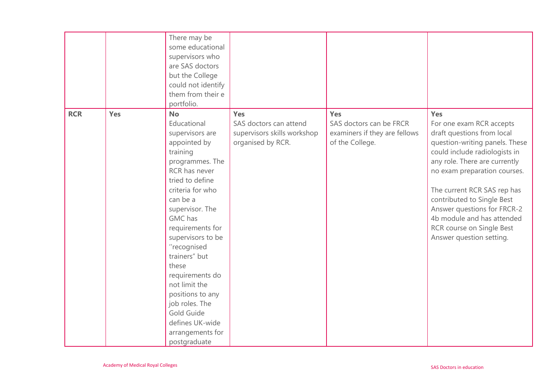|            |     | There may be<br>some educational<br>supervisors who<br>are SAS doctors<br>but the College<br>could not identify<br>them from their e<br>portfolio.                                                                                                                                                                                                                                                                                   |                                                                                   |                                                                                    |                                                                                                                                                                                                                                                                                                                                                                                      |
|------------|-----|--------------------------------------------------------------------------------------------------------------------------------------------------------------------------------------------------------------------------------------------------------------------------------------------------------------------------------------------------------------------------------------------------------------------------------------|-----------------------------------------------------------------------------------|------------------------------------------------------------------------------------|--------------------------------------------------------------------------------------------------------------------------------------------------------------------------------------------------------------------------------------------------------------------------------------------------------------------------------------------------------------------------------------|
| <b>RCR</b> | Yes | <b>No</b><br>Educational<br>supervisors are<br>appointed by<br>training<br>programmes. The<br>RCR has never<br>tried to define<br>criteria for who<br>can be a<br>supervisor. The<br><b>GMC</b> has<br>requirements for<br>supervisors to be<br>"recognised<br>trainers" but<br>these<br>requirements do<br>not limit the<br>positions to any<br>job roles. The<br>Gold Guide<br>defines UK-wide<br>arrangements for<br>postgraduate | Yes<br>SAS doctors can attend<br>supervisors skills workshop<br>organised by RCR. | Yes<br>SAS doctors can be FRCR<br>examiners if they are fellows<br>of the College. | Yes<br>For one exam RCR accepts<br>draft questions from local<br>question-writing panels. These<br>could include radiologists in<br>any role. There are currently<br>no exam preparation courses.<br>The current RCR SAS rep has<br>contributed to Single Best<br>Answer questions for FRCR-2<br>4b module and has attended<br>RCR course on Single Best<br>Answer question setting. |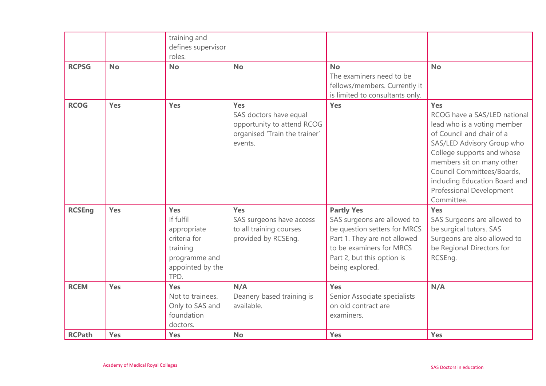|               |            | training and<br>defines supervisor<br>roles.                                                             |                                                                                                         |                                                                                                                                                                                               |                                                                                                                                                                                                                                                                                                          |
|---------------|------------|----------------------------------------------------------------------------------------------------------|---------------------------------------------------------------------------------------------------------|-----------------------------------------------------------------------------------------------------------------------------------------------------------------------------------------------|----------------------------------------------------------------------------------------------------------------------------------------------------------------------------------------------------------------------------------------------------------------------------------------------------------|
| <b>RCPSG</b>  | <b>No</b>  | <b>No</b>                                                                                                | <b>No</b>                                                                                               | <b>No</b><br>The examiners need to be<br>fellows/members. Currently it<br>is limited to consultants only.                                                                                     | <b>No</b>                                                                                                                                                                                                                                                                                                |
| <b>RCOG</b>   | <b>Yes</b> | Yes                                                                                                      | Yes<br>SAS doctors have equal<br>opportunity to attend RCOG<br>organised 'Train the trainer'<br>events. | <b>Yes</b>                                                                                                                                                                                    | Yes<br>RCOG have a SAS/LED national<br>lead who is a voting member<br>of Council and chair of a<br>SAS/LED Advisory Group who<br>College supports and whose<br>members sit on many other<br>Council Committees/Boards,<br>including Education Board and<br><b>Professional Development</b><br>Committee. |
| <b>RCSEng</b> | <b>Yes</b> | Yes<br>If fulfil<br>appropriate<br>criteria for<br>training<br>programme and<br>appointed by the<br>TPD. | Yes<br>SAS surgeons have access<br>to all training courses<br>provided by RCSEng.                       | <b>Partly Yes</b><br>SAS surgeons are allowed to<br>be question setters for MRCS<br>Part 1. They are not allowed<br>to be examiners for MRCS<br>Part 2, but this option is<br>being explored. | Yes<br>SAS Surgeons are allowed to<br>be surgical tutors. SAS<br>Surgeons are also allowed to<br>be Regional Directors for<br>RCSEng.                                                                                                                                                                    |
| <b>RCEM</b>   | <b>Yes</b> | Yes<br>Not to trainees.<br>Only to SAS and<br>foundation<br>doctors.                                     | N/A<br>Deanery based training is<br>available.                                                          | Yes<br>Senior Associate specialists<br>on old contract are<br>examiners.                                                                                                                      | N/A                                                                                                                                                                                                                                                                                                      |
| <b>RCPath</b> | Yes        | Yes                                                                                                      | <b>No</b>                                                                                               | <b>Yes</b>                                                                                                                                                                                    | Yes                                                                                                                                                                                                                                                                                                      |